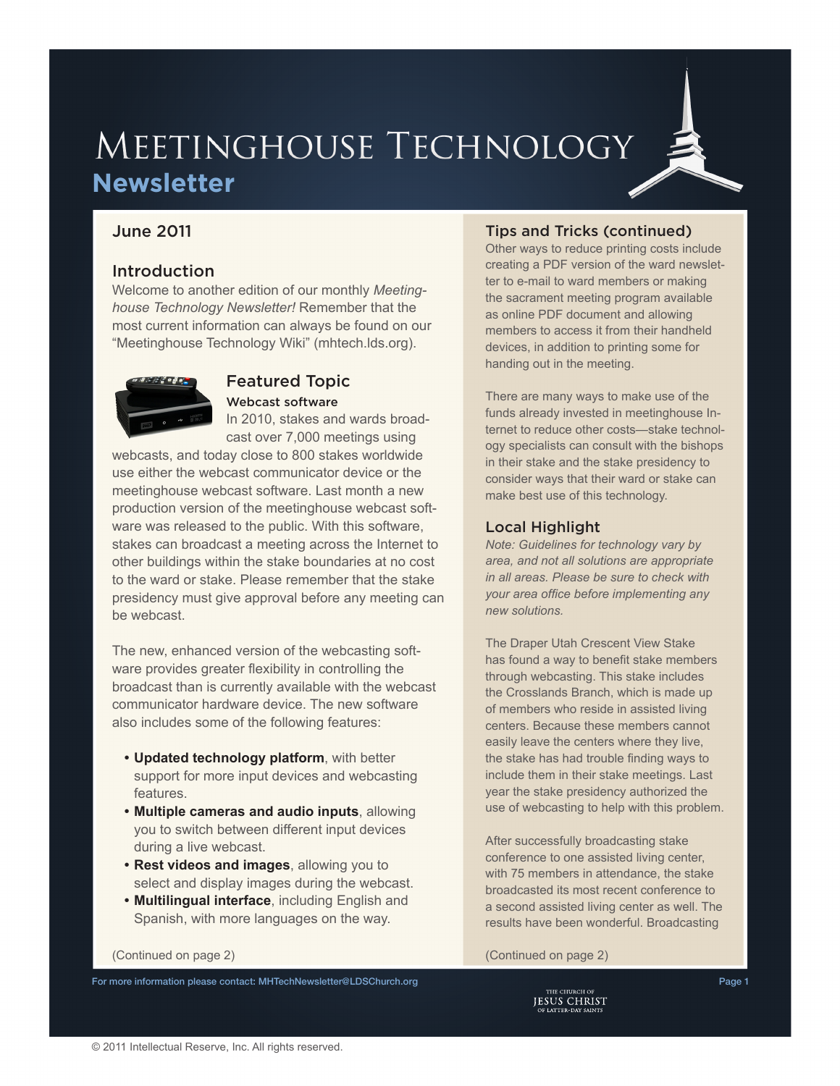# MEETINGHOUSE TECHNOLOGY **Newsletter**

# June 2011

### Introduction

Welcome to another edition of our monthly *Meetinghouse Technology Newsletter!* Remember that the most current information can always be found on our "Meetinghouse Technology Wiki" [\(mhtech.lds.org\)](http://mhtech.lds.org).



### Featured Topic Webcast software

In 2010, stakes and wards broadcast over 7,000 meetings using

webcasts, and today close to 800 stakes worldwide use either the webcast communicator device or the meetinghouse webcast software. Last month a new production version of the meetinghouse webcast software was released to the public. With this software, stakes can broadcast a meeting across the Internet to other buildings within the stake boundaries at no cost to the ward or stake. Please remember that the stake presidency must give approval before any meeting can be webcast.

The new, enhanced version of the webcasting software provides greater flexibility in controlling the broadcast than is currently available with the webcast communicator hardware device. The new software also includes some of the following features:

- **• Updated technology platform**, with better support for more input devices and webcasting features.
- **• Multiple cameras and audio inputs**, allowing you to switch between different input devices during a live webcast.
- **• Rest videos and images**, allowing you to select and display images during the webcast.
- **• Multilingual interface**, including English and Spanish, with more languages on the way.

#### creating a PDF version of the ward newsletter to e-mail to ward members or making

the sacrament meeting program available as online PDF document and allowing members to access it from their handheld devices, in addition to printing some for handing out in the meeting.

Tips and Tricks (continued) Other ways to reduce printing costs include

There are many ways to make use of the funds already invested in meetinghouse Internet to reduce other costs—stake technology specialists can consult with the bishops in their stake and the stake presidency to consider ways that their ward or stake can make best use of this technology.

#### Local Highlight

*Note: Guidelines for technology vary by area, and not all solutions are appropriate in all areas. Please be sure to check with your area office before implementing any new solutions.*

The Draper Utah Crescent View Stake has found a way to benefit stake members through webcasting. This stake includes the Crosslands Branch, which is made up of members who reside in assisted living centers. Because these members cannot easily leave the centers where they live, the stake has had trouble finding ways to include them in their stake meetings. Last year the stake presidency authorized the use of webcasting to help with this problem.

After successfully broadcasting stake conference to one assisted living center, with 75 members in attendance, the stake broadcasted its most recent conference to a second assisted living center as well. The results have been wonderful. Broadcasting

(Continued on page 2) (Continued on page 2)

For more information please contact: [MHTechNewsletter@LDSChurch.org](mailto:mhtechnewsletter%40ldschurch.org?subject=) Page 1 2004 1 2006 1 2006 1 2009 1 2009 1 2009 1

**JESUS CHRIST**